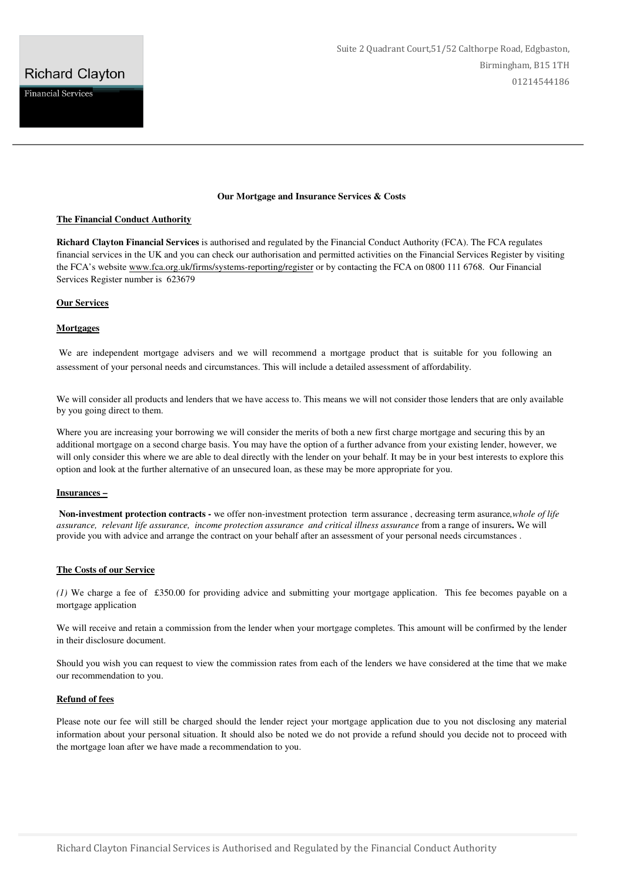### **Our Mortgage and Insurance Services & Costs**

#### **The Financial Conduct Authority**

**Richard Clayton Financial Services** is authorised and regulated by the Financial Conduct Authority (FCA). The FCA regulates financial services in the UK and you can check our authorisation and permitted activities on the Financial Services Register by visiting the FCA's website www.fca.org.uk/firms/systems-reporting/register or by contacting the FCA on 0800 111 6768. Our Financial Services Register number is 623679

# **Our Services**

# **Mortgages**

We are independent mortgage advisers and we will recommend a mortgage product that is suitable for you following an assessment of your personal needs and circumstances. This will include a detailed assessment of affordability.

We will consider all products and lenders that we have access to. This means we will not consider those lenders that are only available by you going direct to them.

Where you are increasing your borrowing we will consider the merits of both a new first charge mortgage and securing this by an additional mortgage on a second charge basis. You may have the option of a further advance from your existing lender, however, we will only consider this where we are able to deal directly with the lender on your behalf. It may be in your best interests to explore this option and look at the further alternative of an unsecured loan, as these may be more appropriate for you.

# **Insurances –**

 **Non-investment protection contracts -** we offer non-investment protection term assurance , decreasing term asurance*,whole of life assurance, relevant life assurance, income protection assurance and critical illness assurance* from a range of insurers**.** We will provide you with advice and arrange the contract on your behalf after an assessment of your personal needs circumstances .

# **The Costs of our Service**

*(1)* We charge a fee of £350.00 for providing advice and submitting your mortgage application. This fee becomes payable on a mortgage application

We will receive and retain a commission from the lender when your mortgage completes. This amount will be confirmed by the lender in their disclosure document.

Should you wish you can request to view the commission rates from each of the lenders we have considered at the time that we make our recommendation to you.

#### **Refund of fees**

Please note our fee will still be charged should the lender reject your mortgage application due to you not disclosing any material information about your personal situation. It should also be noted we do not provide a refund should you decide not to proceed with the mortgage loan after we have made a recommendation to you.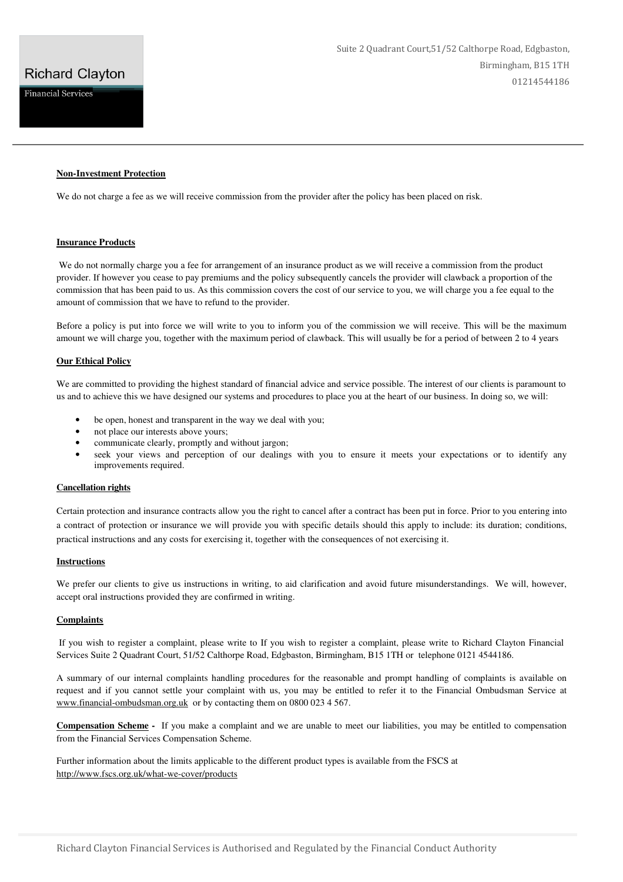# **Richard Clayton**

**Financial Services** 

# **Non-Investment Protection**

We do not charge a fee as we will receive commission from the provider after the policy has been placed on risk.

#### **Insurance Products**

 We do not normally charge you a fee for arrangement of an insurance product as we will receive a commission from the product provider. If however you cease to pay premiums and the policy subsequently cancels the provider will clawback a proportion of the commission that has been paid to us. As this commission covers the cost of our service to you, we will charge you a fee equal to the amount of commission that we have to refund to the provider.

Before a policy is put into force we will write to you to inform you of the commission we will receive. This will be the maximum amount we will charge you, together with the maximum period of clawback. This will usually be for a period of between 2 to 4 years

#### **Our Ethical Policy**

We are committed to providing the highest standard of financial advice and service possible. The interest of our clients is paramount to us and to achieve this we have designed our systems and procedures to place you at the heart of our business. In doing so, we will:

- be open, honest and transparent in the way we deal with you;
- not place our interests above yours;
- communicate clearly, promptly and without jargon;
- seek your views and perception of our dealings with you to ensure it meets your expectations or to identify any improvements required.

### **Cancellation rights**

Certain protection and insurance contracts allow you the right to cancel after a contract has been put in force. Prior to you entering into a contract of protection or insurance we will provide you with specific details should this apply to include: its duration; conditions, practical instructions and any costs for exercising it, together with the consequences of not exercising it.

# **Instructions**

We prefer our clients to give us instructions in writing, to aid clarification and avoid future misunderstandings. We will, however, accept oral instructions provided they are confirmed in writing.

# **Complaints**

 If you wish to register a complaint, please write to If you wish to register a complaint, please write to Richard Clayton Financial Services Suite 2 Quadrant Court, 51/52 Calthorpe Road, Edgbaston, Birmingham, B15 1TH or telephone 0121 4544186.

A summary of our internal complaints handling procedures for the reasonable and prompt handling of complaints is available on request and if you cannot settle your complaint with us, you may be entitled to refer it to the Financial Ombudsman Service at www.financial-ombudsman.org.uk or by contacting them on 0800 023 4 567.

**Compensation Scheme -** If you make a complaint and we are unable to meet our liabilities, you may be entitled to compensation from the Financial Services Compensation Scheme.

Further information about the limits applicable to the different product types is available from the FSCS at http://www.fscs.org.uk/what-we-cover/products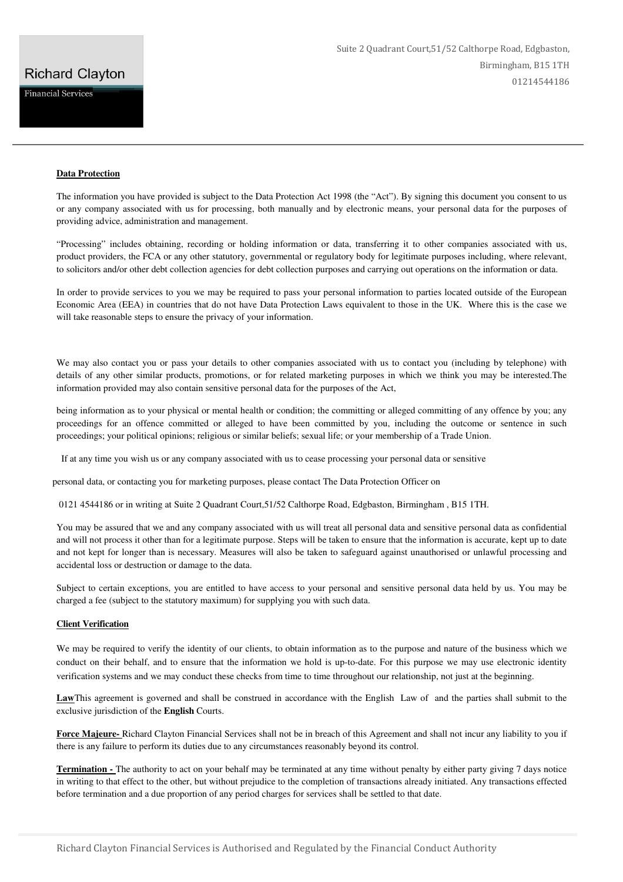# **Richard Clayton**

**Financial Services** 

# **Data Protection**

The information you have provided is subject to the Data Protection Act 1998 (the "Act"). By signing this document you consent to us or any company associated with us for processing, both manually and by electronic means, your personal data for the purposes of providing advice, administration and management.

"Processing" includes obtaining, recording or holding information or data, transferring it to other companies associated with us, product providers, the FCA or any other statutory, governmental or regulatory body for legitimate purposes including, where relevant, to solicitors and/or other debt collection agencies for debt collection purposes and carrying out operations on the information or data.

In order to provide services to you we may be required to pass your personal information to parties located outside of the European Economic Area (EEA) in countries that do not have Data Protection Laws equivalent to those in the UK. Where this is the case we will take reasonable steps to ensure the privacy of your information.

We may also contact you or pass your details to other companies associated with us to contact you (including by telephone) with details of any other similar products, promotions, or for related marketing purposes in which we think you may be interested.The information provided may also contain sensitive personal data for the purposes of the Act,

being information as to your physical or mental health or condition; the committing or alleged committing of any offence by you; any proceedings for an offence committed or alleged to have been committed by you, including the outcome or sentence in such proceedings; your political opinions; religious or similar beliefs; sexual life; or your membership of a Trade Union.

If at any time you wish us or any company associated with us to cease processing your personal data or sensitive

personal data, or contacting you for marketing purposes, please contact The Data Protection Officer on

0121 4544186 or in writing at Suite 2 Quadrant Court,51/52 Calthorpe Road, Edgbaston, Birmingham , B15 1TH.

You may be assured that we and any company associated with us will treat all personal data and sensitive personal data as confidential and will not process it other than for a legitimate purpose. Steps will be taken to ensure that the information is accurate, kept up to date and not kept for longer than is necessary. Measures will also be taken to safeguard against unauthorised or unlawful processing and accidental loss or destruction or damage to the data.

Subject to certain exceptions, you are entitled to have access to your personal and sensitive personal data held by us. You may be charged a fee (subject to the statutory maximum) for supplying you with such data.

# **Client Verification**

We may be required to verify the identity of our clients, to obtain information as to the purpose and nature of the business which we conduct on their behalf, and to ensure that the information we hold is up-to-date. For this purpose we may use electronic identity verification systems and we may conduct these checks from time to time throughout our relationship, not just at the beginning.

**Law**This agreement is governed and shall be construed in accordance with the English Law of and the parties shall submit to the exclusive jurisdiction of the **English** Courts.

**Force Majeure-** Richard Clayton Financial Services shall not be in breach of this Agreement and shall not incur any liability to you if there is any failure to perform its duties due to any circumstances reasonably beyond its control.

**Termination -** The authority to act on your behalf may be terminated at any time without penalty by either party giving 7 days notice in writing to that effect to the other, but without prejudice to the completion of transactions already initiated. Any transactions effected before termination and a due proportion of any period charges for services shall be settled to that date.